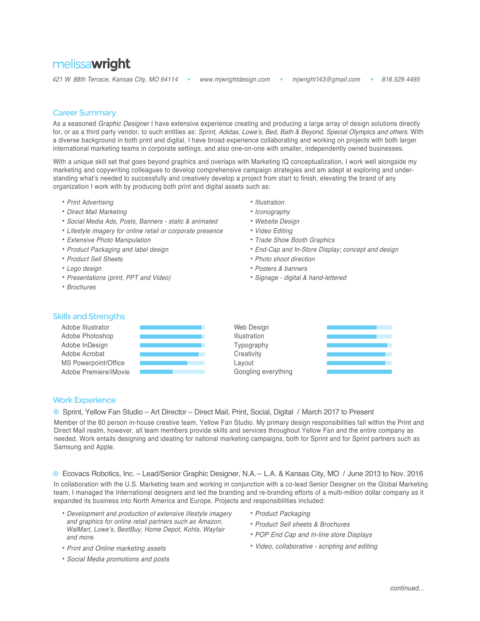# melissa**wright**

*421 W. 88th T*errace, Kansas City, MO 64114 www.mjwrightdesign.com mjwright*1*43@gmail.com 816.529.4495

- 
- 
- 

**Contract** 

a ka

#### Career Summary

As a seasoned *Graphic Designer* I have extensive experience creating and producing a large array of design solutions directly for, or as a third party vendor, to such entities as: *Sprint,* Adidas, Lowe's, Bed, Bath & Beyond, Special Olympics *and others.* With a diverse background in both print and digital, I have broad experience collaborating and working on projects with both larger international marketing teams in corporate settings, and also one-on-one with smaller, independently owned businesses.

With a unique skill set that goes beyond graphics and overlaps with Marketing IQ conceptualization. I work well alongside my marketing and copywriting colleagues to develop comprehensive campaign strategies and am adept at exploring and understanding what's needed to successfully and creatively develop a project from start to finish, elevating the brand of any organization I work with by producing both print and digital assets such as:

- **•** *Print Advertising*
- **•** Direct Mail Marketing
- **•** Social Media Ads, Posts, Banners static & animated
- **•** Lifestyle imagery for online retail or corporate presence
- **•** Extensive Photo Manipulation
- **•** Product Packaging and label design
- **•** Product Sell Sheets
- **•** *Logo design*
- **•** *Presentations (print, PPT and Video)*
- **•** Brochures
- **•** Illustration
- **•** Iconography
- **•** Website Design
- **•** *Video Editing*
- **•** Trade Show Booth Graphics
- **•** End-Cap and In-Store Display; concept and design
- **•** *Photo shoot direction*
- **•** Posters & banners
- **•** Signage digital & hand-lettered

### Skills and Strengths

| Adobe Illustrator     | Web Design          |  |
|-----------------------|---------------------|--|
| Adobe Photoshop       | <b>Illustration</b> |  |
| Adobe InDesign        | Typography          |  |
| Adobe Acrobat         | Creativity          |  |
| MS Powerpoint/Office  | Lavout              |  |
| Adobe Premiere/iMovie | Googling everything |  |

## Work Experience

<sup>●</sup> Sprint, Yellow Fan Studio – Art Director – Direct Mail, Print, Social, Digital / March 2017 to Present

Member of the 60 person in-house creative team, Yellow Fan Studio. My primary design responsibilities fall within the Print and Direct Mail realm, however, all team members provide skills and services throughout Yellow Fan and the entire company as needed. Work entails designing and ideating for national marketing campaigns, both for Sprint and for Sprint partners such as Samsung and Apple.

Ecovacs Robotics, Inc. – Lead/Senior Graphic Designer, N.A.– L.A. & Kansas City, MO / June 2013 to Nov. 2016

In collaboration with the U.S. Marketing team and working in conjunction with a co-lead Senior Designer on the Global Marketing team, I managed the International designers and led the branding and re-branding efforts of a multi-million dollar company as it expanded its business into North America and Europe. Projects and responsibilities included:

- **•** Development and production of extensive lifestyle imagery and graphics for online retail partners such as Amazon, WalMart, Lowe's, BestBuy, Home Depot, Kohls, Wayfair and more.
- **•** Print and Online marketing assets
- **•** Social Media promotions and posts
- **•** Product Packaging
- **•** Product Sell sheets & Brochures
- **•** POP End Cap and In-line store Displays
- **•** Video, collaborative scripting and editing